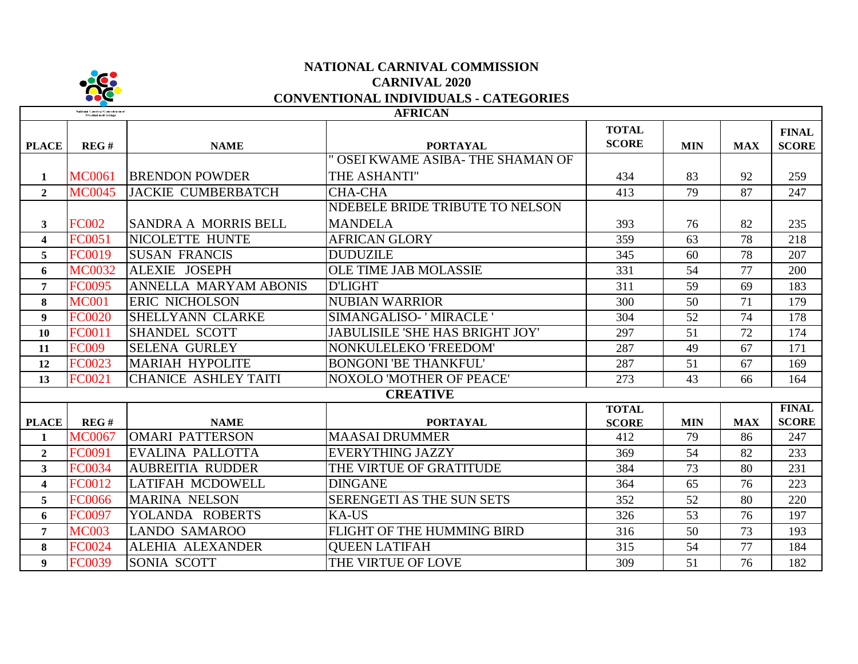

# **NATIONAL CARNIVAL COMMISSION CARNIVAL 2020 CONVENTIONAL INDIVIDUALS - CATEGORIES**

| <b>AFRICAN</b><br>National Carnival Commission of<br>Trinidad and Tobago |               |                              |                                        |                              |            |            |                              |  |
|--------------------------------------------------------------------------|---------------|------------------------------|----------------------------------------|------------------------------|------------|------------|------------------------------|--|
| <b>PLACE</b>                                                             | REG#          | <b>NAME</b>                  | <b>PORTAYAL</b>                        | <b>TOTAL</b><br><b>SCORE</b> | <b>MIN</b> | <b>MAX</b> | <b>FINAL</b><br><b>SCORE</b> |  |
|                                                                          |               |                              | OSEI KWAME ASIBA- THE SHAMAN OF        |                              |            |            |                              |  |
| $\mathbf{1}$                                                             | <b>MC0061</b> | <b>BRENDON POWDER</b>        | THE ASHANTI"                           | 434                          | 83         | 92         | 259                          |  |
| $\mathbf{2}$                                                             | <b>MC0045</b> | <b>JACKIE CUMBERBATCH</b>    | <b>CHA-CHA</b>                         | 413                          | 79         | 87         | 247                          |  |
|                                                                          |               |                              | NDEBELE BRIDE TRIBUTE TO NELSON        |                              |            |            |                              |  |
| $\mathbf{3}$                                                             | <b>FC002</b>  | <b>SANDRA A MORRIS BELL</b>  | <b>MANDELA</b>                         | 393                          | 76         | 82         | 235                          |  |
| $\overline{\mathbf{4}}$                                                  | FC0051        | <b>NICOLETTE HUNTE</b>       | <b>AFRICAN GLORY</b>                   | 359                          | 63         | 78         | 218                          |  |
| 5                                                                        | <b>FC0019</b> | <b>SUSAN FRANCIS</b>         | <b>DUDUZILE</b>                        | 345                          | 60         | 78         | 207                          |  |
| 6                                                                        | <b>MC0032</b> | <b>ALEXIE JOSEPH</b>         | <b>OLE TIME JAB MOLASSIE</b>           | 331                          | 54         | 77         | 200                          |  |
| $\overline{7}$                                                           | <b>FC0095</b> | <b>ANNELLA MARYAM ABONIS</b> | <b>D'LIGHT</b>                         | 311                          | 59         | 69         | 183                          |  |
| 8                                                                        | <b>MC001</b>  | <b>ERIC NICHOLSON</b>        | <b>NUBIAN WARRIOR</b>                  | 300                          | 50         | 71         | 179                          |  |
| 9                                                                        | <b>FC0020</b> | <b>SHELLYANN CLARKE</b>      | SIMANGALISO- 'MIRACLE '                | 304                          | 52         | 74         | 178                          |  |
| 10                                                                       | FC0011        | <b>SHANDEL SCOTT</b>         | <b>JABULISILE 'SHE HAS BRIGHT JOY'</b> | 297                          | 51         | 72         | 174                          |  |
| 11                                                                       | <b>FC009</b>  | <b>SELENA GURLEY</b>         | NONKULELEKO 'FREEDOM'                  | 287                          | 49         | 67         | 171                          |  |
| 12                                                                       | FC0023        | <b>MARIAH HYPOLITE</b>       | <b>BONGONI 'BE THANKFUL'</b>           | 287                          | 51         | 67         | 169                          |  |
| 13                                                                       | FC0021        | <b>CHANICE ASHLEY TAITI</b>  | <b>NOXOLO 'MOTHER OF PEACE'</b>        | 273                          | 43         | 66         | 164                          |  |
|                                                                          |               |                              | <b>CREATIVE</b>                        |                              |            |            |                              |  |
|                                                                          |               |                              |                                        | <b>TOTAL</b>                 |            |            | <b>FINAL</b>                 |  |
| <b>PLACE</b>                                                             | REG#          | <b>NAME</b>                  | <b>PORTAYAL</b>                        | <b>SCORE</b>                 | <b>MIN</b> | <b>MAX</b> | <b>SCORE</b>                 |  |
| $\mathbf{1}$                                                             | <b>MC0067</b> | <b>OMARI PATTERSON</b>       | <b>MAASAI DRUMMER</b>                  | 412                          | 79         | 86         | 247                          |  |
| $\overline{2}$                                                           | FC0091        | EVALINA PALLOTTA             | <b>EVERYTHING JAZZY</b>                | 369                          | 54         | 82         | 233                          |  |
| $\mathbf{3}$                                                             | <b>FC0034</b> | <b>AUBREITIA RUDDER</b>      | THE VIRTUE OF GRATITUDE                | 384                          | 73         | 80         | 231                          |  |
| $\overline{\mathbf{4}}$                                                  | FC0012        | <b>LATIFAH MCDOWELL</b>      | <b>DINGANE</b>                         | 364                          | 65         | 76         | 223                          |  |
| 5                                                                        | <b>FC0066</b> | <b>MARINA NELSON</b>         | SERENGETI AS THE SUN SETS              | 352                          | 52         | 80         | 220                          |  |
| 6                                                                        | <b>FC0097</b> | YOLANDA ROBERTS              | <b>KA-US</b>                           | 326                          | 53         | 76         | 197                          |  |
| $\overline{7}$                                                           | <b>MC003</b>  | <b>LANDO SAMAROO</b>         | FLIGHT OF THE HUMMING BIRD             | 316                          | 50         | 73         | 193                          |  |
| 8                                                                        | FC0024        | ALEHIA ALEXANDER             | <b>OUEEN LATIFAH</b>                   | 315                          | 54         | 77         | 184                          |  |
| $\boldsymbol{9}$                                                         | FC0039        | SONIA SCOTT                  | THE VIRTUE OF LOVE                     | 309                          | 51         | 76         | 182                          |  |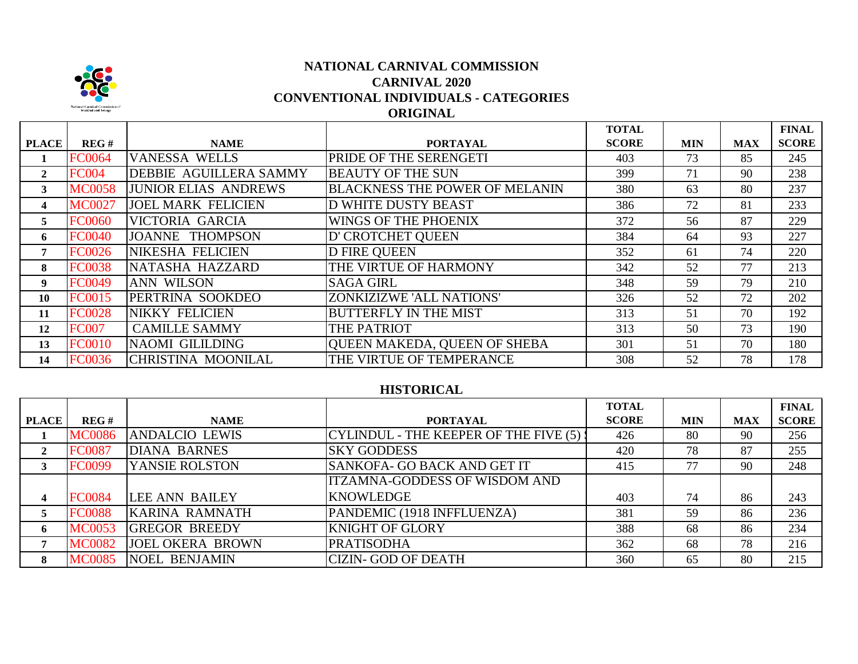

# **CARNIVAL 2020 CONVENTIONAL INDIVIDUALS - CATEGORIES ORIGINAL NATIONAL CARNIVAL COMMISSION**

|              |               |                             |                                       | <b>TOTAL</b> |            |            | <b>FINAL</b> |
|--------------|---------------|-----------------------------|---------------------------------------|--------------|------------|------------|--------------|
| <b>PLACE</b> | REG#          | <b>NAME</b>                 | <b>PORTAYAL</b>                       | <b>SCORE</b> | <b>MIN</b> | <b>MAX</b> | <b>SCORE</b> |
|              | <b>FC0064</b> | <b>VANESSA WELLS</b>        | PRIDE OF THE SERENGETI                | 403          | 73         | 85         | 245          |
| $\mathbf{2}$ | <b>FC004</b>  | DEBBIE AGUILLERA SAMMY      | <b>BEAUTY OF THE SUN</b>              | 399          | 71         | 90         | 238          |
| 3            | <b>MC0058</b> | <b>JUNIOR ELIAS ANDREWS</b> | <b>BLACKNESS THE POWER OF MELANIN</b> | 380          | 63         | 80         | 237          |
| 4            | <b>MC0027</b> | <b>JOEL MARK FELICIEN</b>   | <b>D WHITE DUSTY BEAST</b>            | 386          | 72         | 81         | 233          |
| 5            | <b>FC0060</b> | VICTORIA GARCIA             | WINGS OF THE PHOENIX                  | 372          | 56         | 87         | 229          |
| 6            | <b>FC0040</b> | <b>JOANNE THOMPSON</b>      | D' CROTCHET QUEEN                     | 384          | 64         | 93         | 227          |
| 7            | <b>FC0026</b> | NIKESHA FELICIEN            | <b>D FIRE QUEEN</b>                   | 352          | 61         | 74         | 220          |
| 8            | <b>FC0038</b> | NATASHA HAZZARD             | THE VIRTUE OF HARMONY                 | 342          | 52         | 77         | 213          |
| 9            | <b>FC0049</b> | <b>ANN WILSON</b>           | <b>SAGA GIRL</b>                      | 348          | 59         | 79         | 210          |
| 10           | <b>FC0015</b> | PERTRINA SOOKDEO            | ZONKIZIZWE 'ALL NATIONS'              | 326          | 52         | 72         | 202          |
| 11           | <b>FC0028</b> | NIKKY FELICIEN              | <b>BUTTERFLY IN THE MIST</b>          | 313          | 51         | 70         | 192          |
| 12           | <b>FC007</b>  | <b>CAMILLE SAMMY</b>        | THE PATRIOT                           | 313          | 50         | 73         | 190          |
| 13           | <b>FC0010</b> | NAOMI GILILDING             | QUEEN MAKEDA, QUEEN OF SHEBA          | 301          | 51         | 70         | 180          |
| 14           | <b>FC0036</b> | CHRISTINA MOONILAL          | THE VIRTUE OF TEMPERANCE              | 308          | 52         | 78         | 178          |

#### **HISTORICAL**

|              |               |                         |                                         | <b>TOTAL</b> |            |            | <b>FINAL</b> |
|--------------|---------------|-------------------------|-----------------------------------------|--------------|------------|------------|--------------|
| <b>PLACE</b> | REG#          | <b>NAME</b>             | <b>PORTAYAL</b>                         | <b>SCORE</b> | <b>MIN</b> | <b>MAX</b> | <b>SCORE</b> |
|              | <b>MC0086</b> | <b>ANDALCIO LEWIS</b>   | CYLINDUL - THE KEEPER OF THE FIVE (5) ! | 426          | 80         | 90         | 256          |
| $\mathbf{2}$ | <b>FC0087</b> | <b>DIANA BARNES</b>     | <b>SKY GODDESS</b>                      | 420          | 78         | 87         | 255          |
| 3            | <b>FC0099</b> | YANSIE ROLSTON          | <b>SANKOFA- GO BACK AND GET IT</b>      | 415          | 77         | 90         | 248          |
|              |               |                         | <b>ITZAMNA-GODDESS OF WISDOM AND</b>    |              |            |            |              |
|              | <b>FC0084</b> | <b>LEE ANN BAILEY</b>   | <b>KNOWLEDGE</b>                        | 403          | 74         | 86         | 243          |
|              | <b>FC0088</b> | <b>KARINA RAMNATH</b>   | PANDEMIC (1918 INFFLUENZA)              | 381          | 59         | 86         | 236          |
| 6            | <b>MC0053</b> | <b>GREGOR BREEDY</b>    | <b>KNIGHT OF GLORY</b>                  | 388          | 68         | 86         | 234          |
|              | <b>MC0082</b> | <b>JOEL OKERA BROWN</b> | <b>PRATISODHA</b>                       | 362          | 68         | 78         | 216          |
| 8            | <b>MC0085</b> | <b>NOEL BENJAMIN</b>    | <b>CIZIN- GOD OF DEATH</b>              | 360          | 65         | 80         | 215          |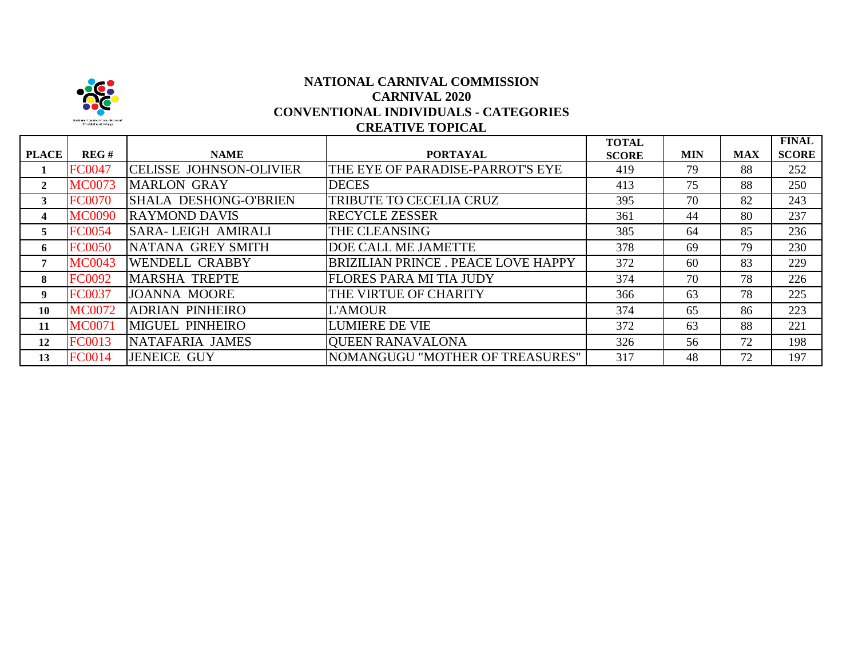

### **CREATIVE TOPICAL NATIONAL CARNIVAL COMMISSION CARNIVAL 2020 CONVENTIONAL INDIVIDUALS - CATEGORIES**

|              |               |                                |                                           | <b>TOTAL</b> |            |            | <b>FINAL</b> |
|--------------|---------------|--------------------------------|-------------------------------------------|--------------|------------|------------|--------------|
| <b>PLACE</b> | REG#          | <b>NAME</b>                    | <b>PORTAYAL</b>                           | <b>SCORE</b> | <b>MIN</b> | <b>MAX</b> | <b>SCORE</b> |
|              | <b>FC0047</b> | <b>CELISSE JOHNSON-OLIVIER</b> | THE EYE OF PARADISE-PARROT'S EYE          | 419          | 79         | 88         | 252          |
| $\mathbf{2}$ | <b>MC0073</b> | <b>MARLON GRAY</b>             | <b>DECES</b>                              | 413          | 75         | 88         | 250          |
| 3            | <b>FC0070</b> | SHALA DESHONG-O'BRIEN          | TRIBUTE TO CECELIA CRUZ                   | 395          | 70         | 82         | 243          |
| 4            | <b>MC0090</b> | <b>RAYMOND DAVIS</b>           | <b>RECYCLE ZESSER</b>                     | 361          | 44         | 80         | 237          |
| 5.           | <b>FC0054</b> | <b>SARA-LEIGH AMIRALI</b>      | THE CLEANSING                             | 385          | 64         | 85         | 236          |
| 6            | <b>FC0050</b> | NATANA GREY SMITH              | <b>DOE CALL ME JAMETTE</b>                | 378          | 69         | 79         | 230          |
|              | <b>MC0043</b> | <b>WENDELL CRABBY</b>          | <b>BRIZILIAN PRINCE. PEACE LOVE HAPPY</b> | 372          | 60         | 83         | 229          |
| 8            | <b>FC0092</b> | <b>MARSHA TREPTE</b>           | <b>FLORES PARA MI TIA JUDY</b>            | 374          | 70         | 78         | 226          |
| 9            | <b>FC0037</b> | <b>JOANNA MOORE</b>            | THE VIRTUE OF CHARITY                     | 366          | 63         | 78         | 225          |
| 10           | <b>MC0072</b> | <b>ADRIAN PINHEIRO</b>         | <b>L'AMOUR</b>                            | 374          | 65         | 86         | 223          |
| 11           | <b>MC0071</b> | <b>MIGUEL PINHEIRO</b>         | <b>LUMIERE DE VIE</b>                     | 372          | 63         | 88         | 221          |
| 12           | <b>FC0013</b> | NATAFARIA JAMES                | <b>QUEEN RANAVALONA</b>                   | 326          | 56         | 72         | 198          |
| 13           | <b>FC0014</b> | JENEICE GUY                    | NOMANGUGU "MOTHER OF TREASURES"           | 317          | 48         | 72         | 197          |